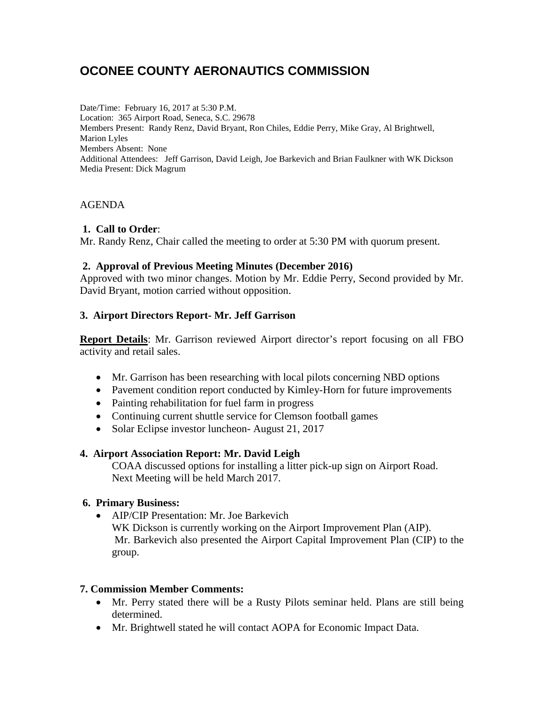# **OCONEE COUNTY AERONAUTICS COMMISSION**

Date/Time: February 16, 2017 at 5:30 P.M. Location: 365 Airport Road, Seneca, S.C. 29678 Members Present: Randy Renz, David Bryant, Ron Chiles, Eddie Perry, Mike Gray, Al Brightwell, Marion Lyles Members Absent: None Additional Attendees: Jeff Garrison, David Leigh, Joe Barkevich and Brian Faulkner with WK Dickson Media Present: Dick Magrum

### AGENDA

#### **1. Call to Order**:

Mr. Randy Renz, Chair called the meeting to order at 5:30 PM with quorum present.

#### **2. Approval of Previous Meeting Minutes (December 2016)**

Approved with two minor changes. Motion by Mr. Eddie Perry, Second provided by Mr. David Bryant, motion carried without opposition.

## **3. Airport Directors Report- Mr. Jeff Garrison**

**Report Details**: Mr. Garrison reviewed Airport director's report focusing on all FBO activity and retail sales.

- Mr. Garrison has been researching with local pilots concerning NBD options
- Pavement condition report conducted by Kimley-Horn for future improvements
- Painting rehabilitation for fuel farm in progress
- Continuing current shuttle service for Clemson football games
- Solar Eclipse investor luncheon-August 21, 2017

#### **4. Airport Association Report: Mr. David Leigh**

COAA discussed options for installing a litter pick-up sign on Airport Road. Next Meeting will be held March 2017.

#### **6. Primary Business:**

• AIP/CIP Presentation: Mr. Joe Barkevich WK Dickson is currently working on the Airport Improvement Plan (AIP). Mr. Barkevich also presented the Airport Capital Improvement Plan (CIP) to the group.

#### **7. Commission Member Comments:**

- Mr. Perry stated there will be a Rusty Pilots seminar held. Plans are still being determined.
- Mr. Brightwell stated he will contact AOPA for Economic Impact Data.